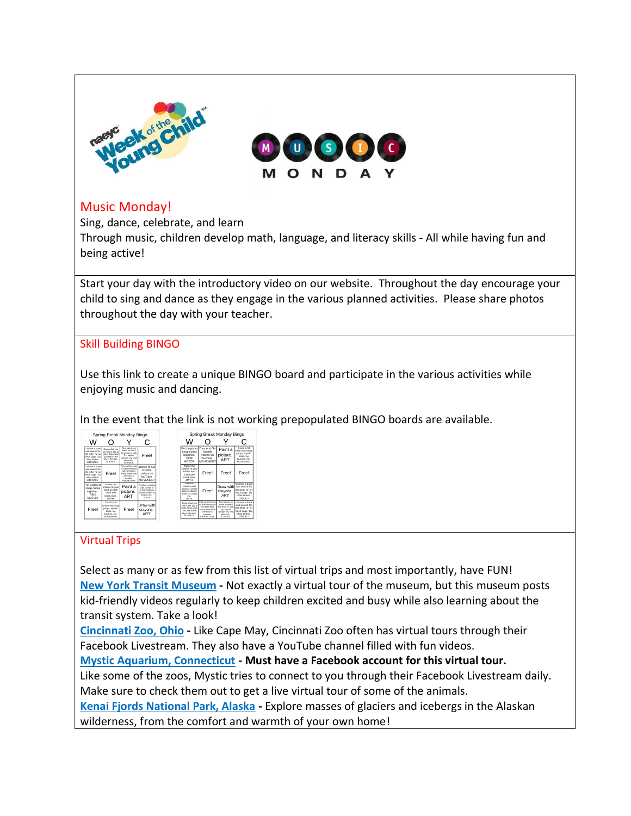

## Music Monday!

Sing, dance, celebrate, and learn

Through music, children develop math, language, and literacy skills - All while having fun and being active!

Start your day with the introductory video on our website. Throughout the day encourage your child to sing and dance as they engage in the various planned activities. Please share photos throughout the day with your teacher.

## Skill Building BINGO

Use this [link](https://bingobaker.com/play/3022635) to create a unique BINGO board and participate in the various activities while enjoying music and dancing.

In the event that the link is not working prepopulated BINGO boards are available.

|                                                                                                      |                                                                                                              |                                                                                                                               | С                                                                                                  |  |
|------------------------------------------------------------------------------------------------------|--------------------------------------------------------------------------------------------------------------|-------------------------------------------------------------------------------------------------------------------------------|----------------------------------------------------------------------------------------------------|--|
| Choose a book<br>and search for<br>the letter "a" on<br>each page. Try<br>other letters.<br>LITERACY | Draw what you<br>see in the sky at<br>night, Draw what<br>you see in the<br>sky in the day.<br><b>SCENCE</b> | Test objects in<br>water to see it<br>they float or sink.<br>Try: spoon.<br>sponge, toy, leaf<br>block etc.<br><b>SCIENCE</b> | Free!                                                                                              |  |
| Choose a book<br>and search for<br>the letter "a" on<br>each page. Try<br>other letters.<br>LITERACY | Free!                                                                                                        | Pick up Cheerige<br>or marshmallows<br>with twenzers.<br>Move them from<br>one bowl to<br>section.<br>FINE MOTOR              | Dance to Go<br>Noodle<br>videos on<br>YouTube<br><b>MOVEMENT</b>                                   |  |
| Put Legos or<br>snap cubes<br>together.<br>FINE<br><b>MOTOR</b>                                      | Name the<br>shapes of your<br>food at each<br>meal and<br>snark time<br>MATH                                 | Paint a<br>picture.<br>ART                                                                                                    | Practice counting<br>with pieces of<br>censal, buttons.<br>Barbie shoes, or<br>Legos, etc.<br>MATH |  |
| Free!                                                                                                | Count to 10<br>ahile exercising<br>jumps, squats.<br>kicks, toe<br>touches, etc.<br>MOVEMENT                 | Free!                                                                                                                         | Draw with<br>cravons.<br>ART                                                                       |  |

| Spring Break Monday Bingo                                                                                     |                                                                                                                     |                                                                                                                     |                                                                                                      |  |  |
|---------------------------------------------------------------------------------------------------------------|---------------------------------------------------------------------------------------------------------------------|---------------------------------------------------------------------------------------------------------------------|------------------------------------------------------------------------------------------------------|--|--|
|                                                                                                               |                                                                                                                     |                                                                                                                     | n                                                                                                    |  |  |
| Put Legos or<br>snap cubes<br>together.<br><b>FINE</b><br><b>MOTOR</b>                                        | Dance to Go<br>Noodle<br>videos on<br>YouTube:<br>MOVEMENT                                                          | Paint a<br>picture.<br>ART                                                                                          | Count in 10<br>shila awarrisinn<br>umps, squats.<br>kicks, toe<br>touches, etc.<br><b>MOVEMENT</b>   |  |  |
| Nome the<br>shapes of your<br>food at each<br>mool on f<br>snark limo<br><b>MATH</b>                          | Free!                                                                                                               | Free!                                                                                                               | Free!                                                                                                |  |  |
| <b>Drambra</b><br>counting with<br>pieces of cereal<br>buttons, Barble<br>shoes, or Leggs.<br>at-<br>MATH     | Free!                                                                                                               | Draw with<br>cravons.<br>ART                                                                                        | Choose a book<br>and search for<br>the letter "a" on<br>each page. Try<br>other letters<br>LITERACY  |  |  |
| Draw what you<br>see in the sky at<br>night. Down what<br>you see in the<br>sky in the day.<br><b>SCIENCE</b> | Pick up Cheerion<br>re marshmallroan<br>with tweezers<br>Move them from<br>rese houst to:<br>sorther.<br>FINE MOTOR | est objects in<br>water to see if<br>they float or sink.<br>Try: spoon.<br>sponge, toy, leaf<br>Newleast<br>SCIENCE | Choose a book<br>and search for<br>the letter "a" on<br>each page. Try<br>other letters.<br>LITERACY |  |  |

## Virtual Trips

 $\overline{a}$ 

Select as many or as few from this list of virtual trips and most importantly, have FUN! **[New York Transit Museum](https://www.nytransitmuseum.org/transittots/) -** Not exactly a virtual tour of the museum, but this museum posts kid-friendly videos regularly to keep children excited and busy while also learning about the transit system. Take a look!

**[Cincinnati Zoo, Ohio](https://www.youtube.com/user/CincinnatiZooTube) -** Like Cape May, Cincinnati Zoo often has virtual tours through their Facebook Livestream. They also have a YouTube channel filled with fun videos.

**[Mystic Aquarium, Connecticut](https://www.facebook.com/mysticaquarium/) - Must have a Facebook account for this virtual tour.** Like some of the zoos, Mystic tries to connect to you through their Facebook Livestream daily. Make sure to check them out to get a live virtual tour of some of the animals.

**[Kenai Fjords National Park, Alaska](https://artsandculture.withgoogle.com/en-us/national-parks-service/kenai-fjords/exit-glacier-tour) -** Explore masses of glaciers and icebergs in the Alaskan wilderness, from the comfort and warmth of your own home!